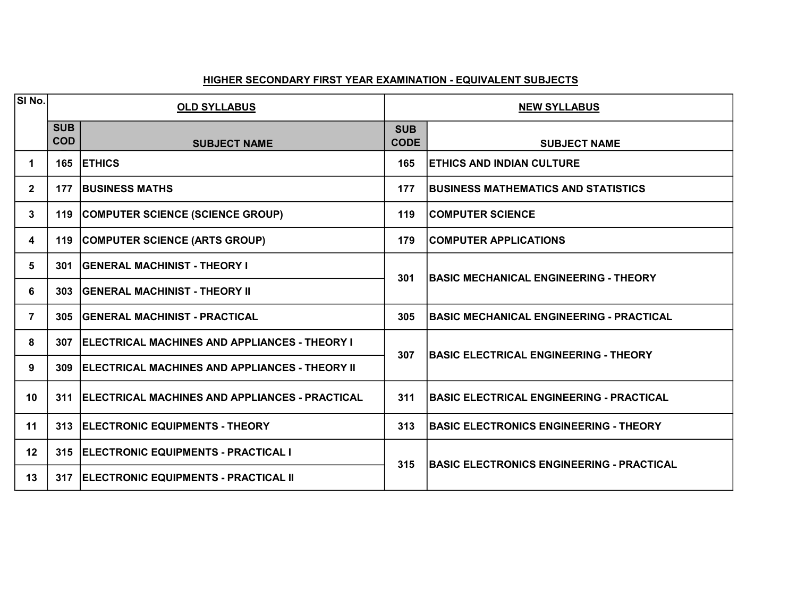| SI <sub>No.</sub> | <b>OLD SYLLABUS</b>      |                                                       | <b>NEW SYLLABUS</b>       |                                                   |
|-------------------|--------------------------|-------------------------------------------------------|---------------------------|---------------------------------------------------|
|                   | <b>SUB</b><br><b>COD</b> | <b>SUBJECT NAME</b>                                   | <b>SUB</b><br><b>CODE</b> | <b>SUBJECT NAME</b>                               |
| 1                 | 165                      | <b>ETHICS</b>                                         | 165                       | <b>ETHICS AND INDIAN CULTURE</b>                  |
| $\mathbf{2}$      | 177                      | <b>BUSINESS MATHS</b>                                 | 177                       | BUSINESS MATHEMATICS AND STATISTICS               |
| $\mathbf{3}$      | 119                      | COMPUTER SCIENCE (SCIENCE GROUP)                      | 119                       | <b>COMPUTER SCIENCE</b>                           |
| 4                 | 119                      | COMPUTER SCIENCE (ARTS GROUP)                         | 179                       | <b>COMPUTER APPLICATIONS</b>                      |
| 5                 | 301                      | <b>GENERAL MACHINIST - THEORY I</b>                   | 301                       | <b>BASIC MECHANICAL ENGINEERING - THEORY</b>      |
| 6                 | 303                      | <b>GENERAL MACHINIST - THEORY II</b>                  |                           |                                                   |
| $\overline{7}$    | 305                      | <b>IGENERAL MACHINIST - PRACTICAL</b>                 | 305                       | <b>BASIC MECHANICAL ENGINEERING - PRACTICAL</b>   |
| 8                 | 307                      | <b>IELECTRICAL MACHINES AND APPLIANCES - THEORY I</b> | 307                       | <b>BASIC ELECTRICAL ENGINEERING - THEORY</b>      |
| 9                 | 309                      | ELECTRICAL MACHINES AND APPLIANCES - THEORY II        |                           |                                                   |
| 10                | 311                      | <b>ELECTRICAL MACHINES AND APPLIANCES - PRACTICAL</b> | 311                       | <b> BASIC ELECTRICAL ENGINEERING - PRACTICAL</b>  |
| 11                | 313                      | ELECTRONIC EQUIPMENTS - THEORY                        | 313                       | <b>BASIC ELECTRONICS ENGINEERING - THEORY</b>     |
| 12                | 315                      | ELECTRONIC EQUIPMENTS - PRACTICAL I                   | 315                       | <b>IBASIC ELECTRONICS ENGINEERING - PRACTICAL</b> |
| 13                | 317                      | ELECTRONIC EQUIPMENTS - PRACTICAL II                  |                           |                                                   |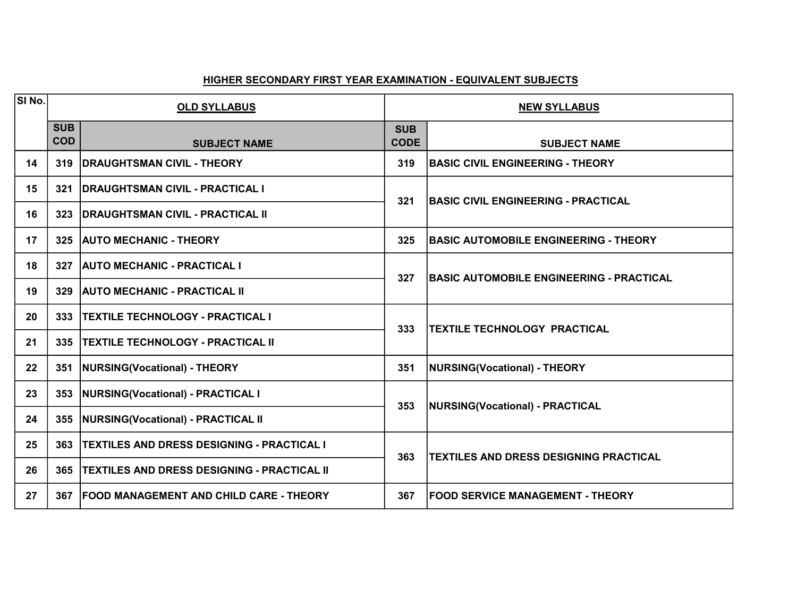| $ \overline{\mathsf{SI}}\,\mathsf{No.} $ | <b>OLD SYLLABUS</b>      |                                                    | <b>NEW SYLLABUS</b>       |                                                 |
|------------------------------------------|--------------------------|----------------------------------------------------|---------------------------|-------------------------------------------------|
|                                          | <b>SUB</b><br><b>COD</b> | <b>SUBJECT NAME</b>                                | <b>SUB</b><br><b>CODE</b> | <b>SUBJECT NAME</b>                             |
| 14                                       | 319                      | <b>DRAUGHTSMAN CIVIL - THEORY</b>                  | 319                       | <b>BASIC CIVIL ENGINEERING - THEORY</b>         |
| 15                                       | 321                      | <b>IDRAUGHTSMAN CIVIL - PRACTICAL I</b>            | 321                       | <b>BASIC CIVIL ENGINEERING - PRACTICAL</b>      |
| 16                                       | 323                      | <b>IDRAUGHTSMAN CIVIL - PRACTICAL II</b>           |                           |                                                 |
| 17                                       | 325                      | <b>AUTO MECHANIC - THEORY</b>                      | 325                       | <b>BASIC AUTOMOBILE ENGINEERING - THEORY</b>    |
| 18                                       | 327                      | <b>AUTO MECHANIC - PRACTICAL I</b>                 |                           | <b>BASIC AUTOMOBILE ENGINEERING - PRACTICAL</b> |
| 19                                       | 329                      | <b>AUTO MECHANIC - PRACTICAL II</b>                | 327                       |                                                 |
| 20                                       | 333                      | <b>TEXTILE TECHNOLOGY - PRACTICAL I</b>            |                           | <b>TEXTILE TECHNOLOGY PRACTICAL</b>             |
| 21                                       | 335                      | <b>TEXTILE TECHNOLOGY - PRACTICAL II</b>           | 333                       |                                                 |
| 22                                       | 351                      | NURSING(Vocational) - THEORY                       | 351                       | NURSING(Vocational) - THEORY                    |
| 23                                       | 353                      | <b>NURSING(Vocational) - PRACTICAL I</b>           | 353                       | <b>NURSING(Vocational) - PRACTICAL</b>          |
| 24                                       | 355                      | <b>NURSING(Vocational) - PRACTICAL II</b>          |                           |                                                 |
| 25                                       | 363                      | <b>TEXTILES AND DRESS DESIGNING - PRACTICAL I</b>  | 363                       | <b>TEXTILES AND DRESS DESIGNING PRACTICAL</b>   |
| 26                                       | 365                      | <b>TEXTILES AND DRESS DESIGNING - PRACTICAL II</b> |                           |                                                 |
| 27                                       | 367                      | <b>FOOD MANAGEMENT AND CHILD CARE - THEORY</b>     | 367                       | <b>FOOD SERVICE MANAGEMENT - THEORY</b>         |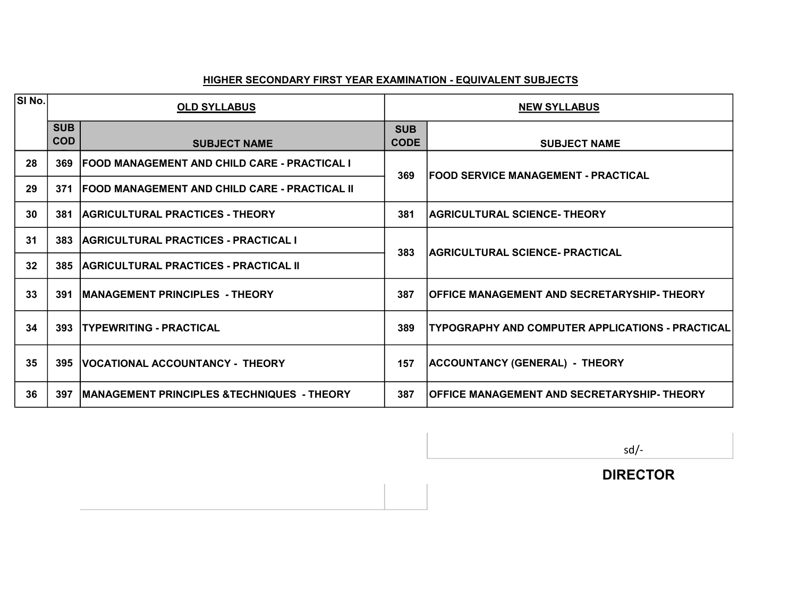| SI No. | <b>OLD SYLLABUS</b>      |                                                        | <b>NEW SYLLABUS</b>       |                                                     |
|--------|--------------------------|--------------------------------------------------------|---------------------------|-----------------------------------------------------|
|        | <b>SUB</b><br><b>COD</b> | <b>SUBJECT NAME</b>                                    | <b>SUB</b><br><b>CODE</b> | <b>SUBJECT NAME</b>                                 |
| 28     | 369                      | FOOD MANAGEMENT AND CHILD CARE - PRACTICAL I           | 369                       | <b>IFOOD SERVICE MANAGEMENT - PRACTICAL</b>         |
| 29     | 371                      | <b>FOOD MANAGEMENT AND CHILD CARE - PRACTICAL II</b>   |                           |                                                     |
| 30     | 381                      | <b>AGRICULTURAL PRACTICES - THEORY</b>                 | 381                       | <b>AGRICULTURAL SCIENCE- THEORY</b>                 |
| 31     | 383                      | AGRICULTURAL PRACTICES - PRACTICAL I                   | 383                       | <b>AGRICULTURAL SCIENCE- PRACTICAL</b>              |
| 32     | 385                      | AGRICULTURAL PRACTICES - PRACTICAL II                  |                           |                                                     |
| 33     | 391                      | <b>MANAGEMENT PRINCIPLES - THEORY</b>                  | 387                       | <b> OFFICE MANAGEMENT AND SECRETARYSHIP- THEORY</b> |
| 34     | 393                      | <b>TYPEWRITING - PRACTICAL</b>                         | 389                       | TYPOGRAPHY AND COMPUTER APPLICATIONS - PRACTICAL    |
| 35     |                          | 395   VOCATIONAL ACCOUNTANCY - THEORY                  | 157                       | ACCOUNTANCY (GENERAL) - THEORY                      |
| 36     | 397                      | <b>IMANAGEMENT PRINCIPLES &amp;TECHNIQUES - THEORY</b> | 387                       | OFFICE MANAGEMENT AND SECRETARYSHIP- THEORY         |

sd/-

DIRECTOR